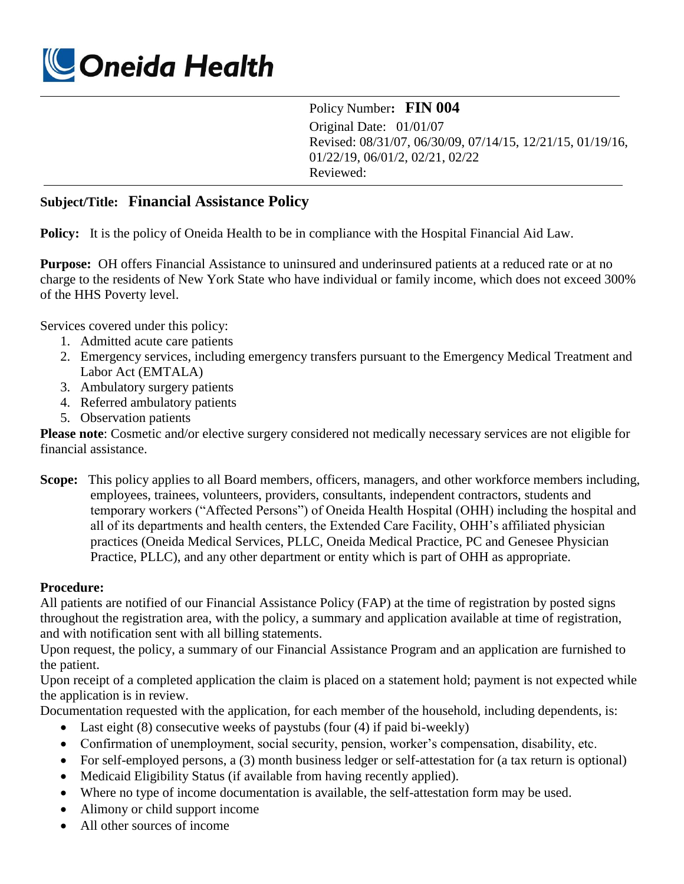

Policy Number**: FIN 004**

Original Date: 01/01/07 Revised: 08/31/07, 06/30/09, 07/14/15, 12/21/15, 01/19/16, 01/22/19, 06/01/2, 02/21, 02/22 Reviewed:

## **Subject/Title: Financial Assistance Policy**

**Policy:** It is the policy of Oneida Health to be in compliance with the Hospital Financial Aid Law.

**Purpose:** OH offers Financial Assistance to uninsured and underinsured patients at a reduced rate or at no charge to the residents of New York State who have individual or family income, which does not exceed 300% of the HHS Poverty level.

Services covered under this policy:

- 1. Admitted acute care patients
- 2. Emergency services, including emergency transfers pursuant to the Emergency Medical Treatment and Labor Act (EMTALA)
- 3. Ambulatory surgery patients
- 4. Referred ambulatory patients
- 5. Observation patients

**Please note**: Cosmetic and/or elective surgery considered not medically necessary services are not eligible for financial assistance.

**Scope:** This policy applies to all Board members, officers, managers, and other workforce members including, employees, trainees, volunteers, providers, consultants, independent contractors, students and temporary workers ("Affected Persons") of Oneida Health Hospital (OHH) including the hospital and all of its departments and health centers, the Extended Care Facility, OHH's affiliated physician practices (Oneida Medical Services, PLLC, Oneida Medical Practice, PC and Genesee Physician Practice, PLLC), and any other department or entity which is part of OHH as appropriate.

## **Procedure:**

All patients are notified of our Financial Assistance Policy (FAP) at the time of registration by posted signs throughout the registration area, with the policy, a summary and application available at time of registration, and with notification sent with all billing statements.

Upon request, the policy, a summary of our Financial Assistance Program and an application are furnished to the patient.

Upon receipt of a completed application the claim is placed on a statement hold; payment is not expected while the application is in review.

Documentation requested with the application, for each member of the household, including dependents, is:

- Last eight (8) consecutive weeks of paystubs (four (4) if paid bi-weekly)
- Confirmation of unemployment, social security, pension, worker's compensation, disability, etc.
- For self-employed persons, a (3) month business ledger or self-attestation for (a tax return is optional)
- Medicaid Eligibility Status (if available from having recently applied).
- Where no type of income documentation is available, the self-attestation form may be used.
- Alimony or child support income
- All other sources of income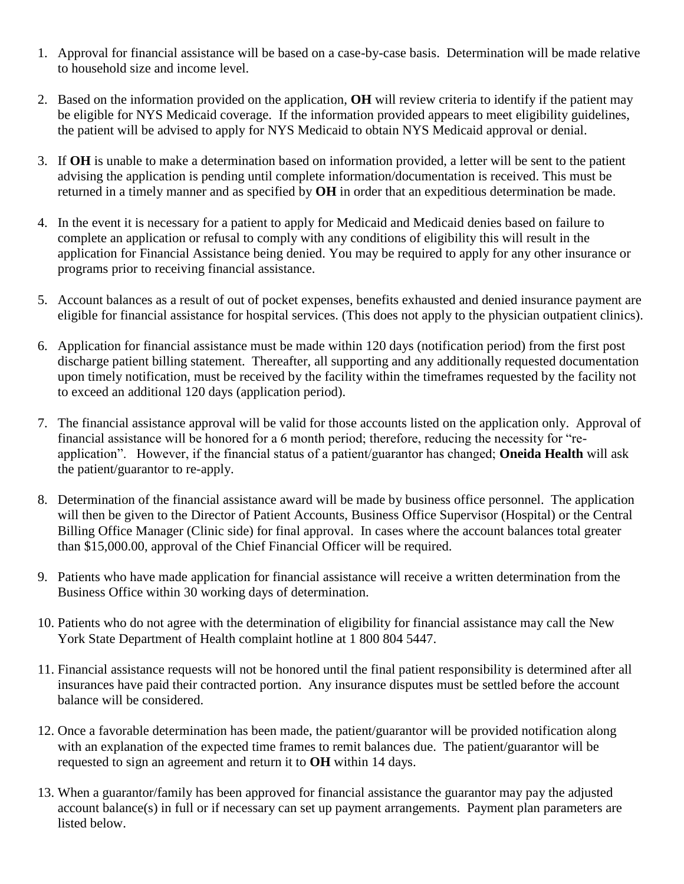- 1. Approval for financial assistance will be based on a case-by-case basis. Determination will be made relative to household size and income level.
- 2. Based on the information provided on the application, **OH** will review criteria to identify if the patient may be eligible for NYS Medicaid coverage. If the information provided appears to meet eligibility guidelines, the patient will be advised to apply for NYS Medicaid to obtain NYS Medicaid approval or denial.
- 3. If **OH** is unable to make a determination based on information provided, a letter will be sent to the patient advising the application is pending until complete information/documentation is received. This must be returned in a timely manner and as specified by **OH** in order that an expeditious determination be made.
- 4. In the event it is necessary for a patient to apply for Medicaid and Medicaid denies based on failure to complete an application or refusal to comply with any conditions of eligibility this will result in the application for Financial Assistance being denied. You may be required to apply for any other insurance or programs prior to receiving financial assistance.
- 5. Account balances as a result of out of pocket expenses, benefits exhausted and denied insurance payment are eligible for financial assistance for hospital services. (This does not apply to the physician outpatient clinics).
- 6. Application for financial assistance must be made within 120 days (notification period) from the first post discharge patient billing statement. Thereafter, all supporting and any additionally requested documentation upon timely notification, must be received by the facility within the timeframes requested by the facility not to exceed an additional 120 days (application period).
- 7. The financial assistance approval will be valid for those accounts listed on the application only. Approval of financial assistance will be honored for a 6 month period; therefore, reducing the necessity for "reapplication". However, if the financial status of a patient/guarantor has changed; **Oneida Health** will ask the patient/guarantor to re-apply.
- 8. Determination of the financial assistance award will be made by business office personnel. The application will then be given to the Director of Patient Accounts, Business Office Supervisor (Hospital) or the Central Billing Office Manager (Clinic side) for final approval. In cases where the account balances total greater than \$15,000.00, approval of the Chief Financial Officer will be required.
- 9. Patients who have made application for financial assistance will receive a written determination from the Business Office within 30 working days of determination.
- 10. Patients who do not agree with the determination of eligibility for financial assistance may call the New York State Department of Health complaint hotline at 1 800 804 5447.
- 11. Financial assistance requests will not be honored until the final patient responsibility is determined after all insurances have paid their contracted portion. Any insurance disputes must be settled before the account balance will be considered.
- 12. Once a favorable determination has been made, the patient/guarantor will be provided notification along with an explanation of the expected time frames to remit balances due. The patient/guarantor will be requested to sign an agreement and return it to **OH** within 14 days.
- 13. When a guarantor/family has been approved for financial assistance the guarantor may pay the adjusted account balance(s) in full or if necessary can set up payment arrangements. Payment plan parameters are listed below.